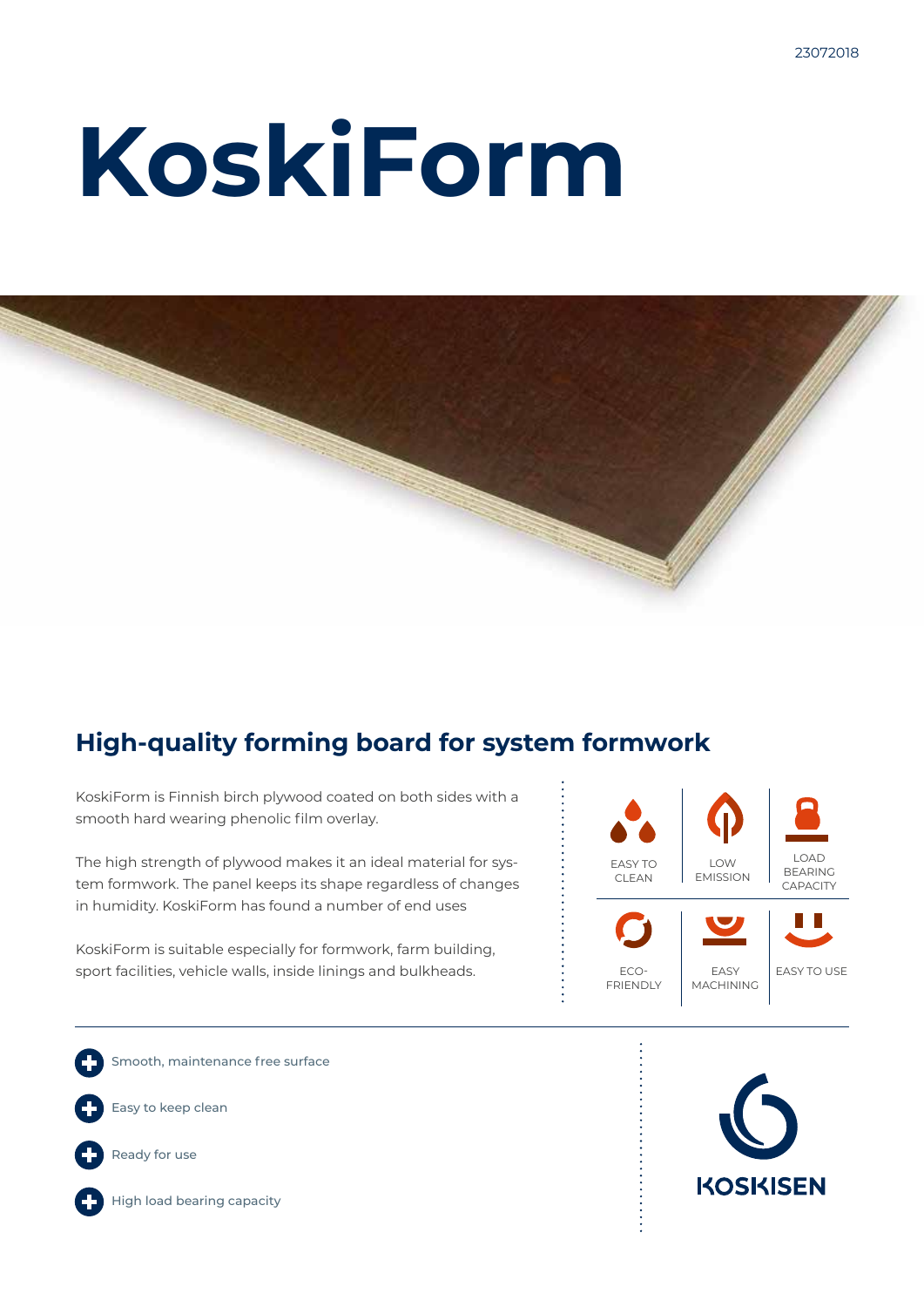# **KoskiForm**



### **High-quality forming board for system formwork**

KoskiForm is Finnish birch plywood coated on both sides with a smooth hard wearing phenolic film overlay.

The high strength of plywood makes it an ideal material for system formwork. The panel keeps its shape regardless of changes in humidity. KoskiForm has found a number of end uses

KoskiForm is suitable especially for formwork, farm building, sport facilities, vehicle walls, inside linings and bulkheads.



Smooth, maintenance free surface Easy to keep clean



High load bearing capacity